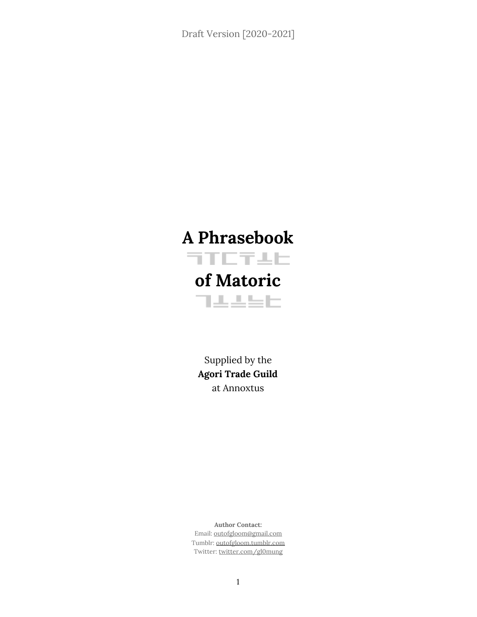# **A Phrasebook FTETAL of Matoric** 可主主当日

Supplied by the **Agori Trade Guild** at Annoxtus

**Author Contact:** Email: outofgloom@gmail.com Tumblr: outofgloom.tumblr.com Twitter: twitter.com/gl0mung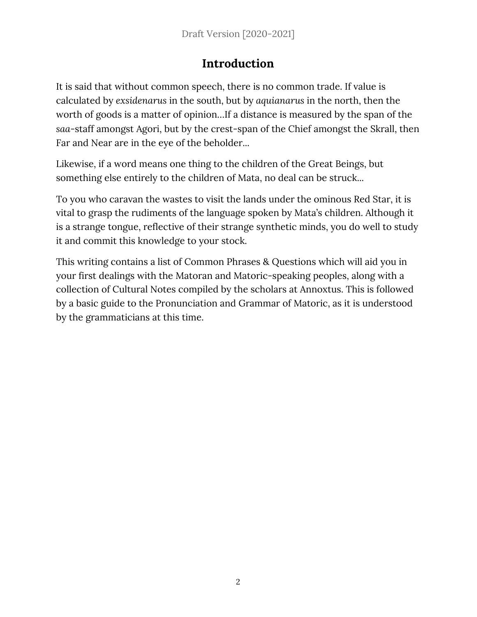### **Introduction**

It is said that without common speech, there is no common trade. If value is calculated by *exsidenarus* in the south, but by *aquianarus* in the north, then the worth of goods is a matter of opinion…If a distance is measured by the span of the *saa*-staff amongst Agori, but by the crest-span of the Chief amongst the Skrall, then Far and Near are in the eye of the beholder...

Likewise, if a word means one thing to the children of the Great Beings, but something else entirely to the children of Mata, no deal can be struck...

To you who caravan the wastes to visit the lands under the ominous Red Star, it is vital to grasp the rudiments of the language spoken by Mata's children. Although it is a strange tongue, reflective of their strange synthetic minds, you do well to study it and commit this knowledge to your stock.

This writing contains a list of Common Phrases & Questions which will aid you in your first dealings with the Matoran and Matoric-speaking peoples, along with a collection of Cultural Notes compiled by the scholars at Annoxtus. This is followed by a basic guide to the Pronunciation and Grammar of Matoric, as it is understood by the grammaticians at this time.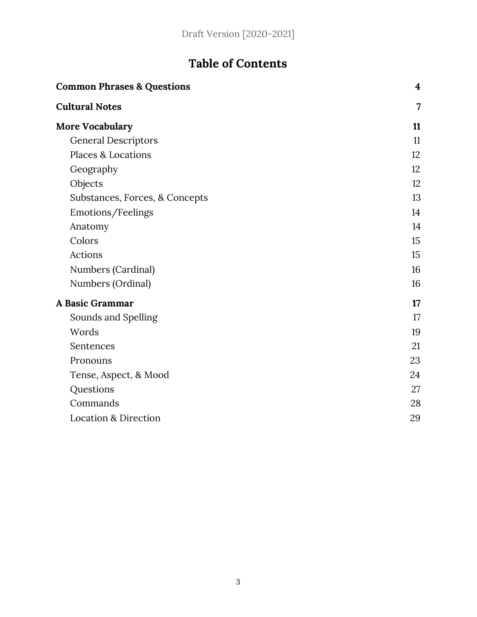## **Table of Contents**

| <b>Common Phrases &amp; Questions</b> | $\overline{\mathbf{4}}$ |
|---------------------------------------|-------------------------|
| <b>Cultural Notes</b>                 | 7                       |
| <b>More Vocabulary</b>                | 11                      |
| <b>General Descriptors</b>            | 11                      |
| <b>Places &amp; Locations</b>         | 12                      |
| Geography                             | 12                      |
| Objects                               | 12                      |
| Substances, Forces, & Concepts        | 13                      |
| Emotions/Feelings                     | 14                      |
| Anatomy                               | 14                      |
| Colors                                | 15                      |
| <b>Actions</b>                        | 15                      |
| Numbers (Cardinal)                    | 16                      |
| Numbers (Ordinal)                     | 16                      |
| A Basic Grammar                       | 17                      |
| Sounds and Spelling                   | 17                      |
| Words                                 | 19                      |
| Sentences                             | 21                      |
| Pronouns                              | 23                      |
| Tense, Aspect, & Mood                 | 24                      |
| Questions                             | 27                      |
| Commands                              | 28                      |
| <b>Location &amp; Direction</b>       | 29                      |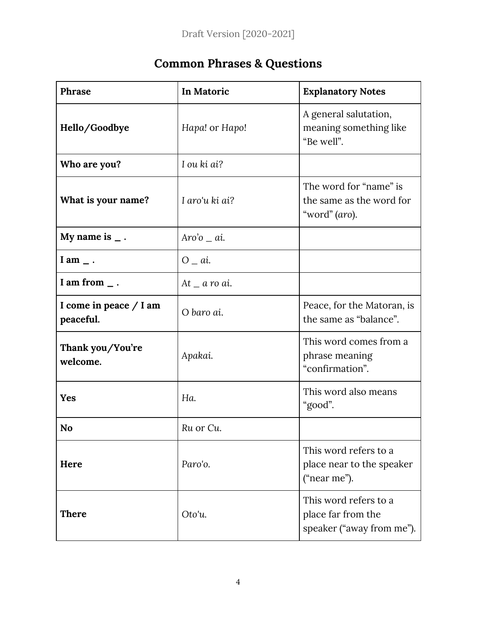## **Common Phrases & Questions**

<span id="page-3-0"></span>

| Phrase                                | In Matoric         | <b>Explanatory Notes</b>                                                 |
|---------------------------------------|--------------------|--------------------------------------------------------------------------|
| Hello/Goodbye                         | Hapa! or Hapo!     | A general salutation,<br>meaning something like<br>"Be well".            |
| Who are you?                          | I ou ki ai?        |                                                                          |
| What is your name?                    | I aro'u ki ai?     | The word for "name" is<br>the same as the word for<br>"word" (aro).      |
| My name is $\overline{\phantom{a}}$ . | $Aro'o$ _ ai.      |                                                                          |
| I am $\overline{\phantom{a}}$ .       | $O_{a}$ .          |                                                                          |
| I am from $\overline{\phantom{a}}$ .  | At $\alpha$ ro ai. |                                                                          |
| I come in peace $/$ I am<br>peaceful. | O baro ai.         | Peace, for the Matoran, is<br>the same as "balance".                     |
| Thank you/You're<br>welcome.          | Apakai.            | This word comes from a<br>phrase meaning<br>"confirmation".              |
| <b>Yes</b>                            | Ha.                | This word also means<br>"good".                                          |
| No                                    | Ru or Cu           |                                                                          |
| Here                                  | Paro'o.            | This word refers to a<br>place near to the speaker<br>("near me").       |
| <b>There</b>                          | Oto'u.             | This word refers to a<br>place far from the<br>speaker ("away from me"). |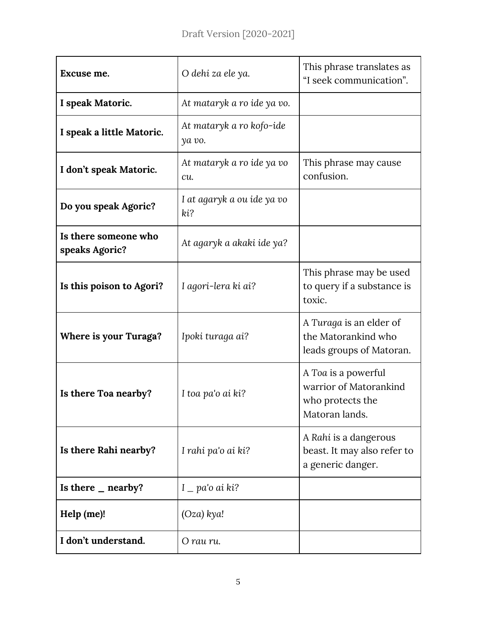| Excuse me.                             | O dehi za ele ya.                  |                                                                                     |
|----------------------------------------|------------------------------------|-------------------------------------------------------------------------------------|
| I speak Matoric.                       | At mataryk a ro ide ya vo.         |                                                                                     |
| I speak a little Matoric.              | At mataryk a ro kofo-ide<br>ya vo. |                                                                                     |
| I don't speak Matoric.                 | At mataryk a ro ide ya vo<br>cu.   | This phrase may cause<br>confusion.                                                 |
| Do you speak Agoric?                   | I at agaryk a ou ide ya vo<br>ki?  |                                                                                     |
| Is there someone who<br>speaks Agoric? | At agaryk a akaki ide ya?          |                                                                                     |
| Is this poison to Agori?               | I agori-lera ki ai?                | This phrase may be used<br>to query if a substance is<br>toxic.                     |
| <b>Where is your Turaga?</b>           | Ipoki turaga ai?                   | A Turaga is an elder of<br>the Matorankind who<br>leads groups of Matoran.          |
| Is there Toa nearby?                   | I toa pa'o ai ki?                  | A Toa is a powerful<br>warrior of Matorankind<br>who protects the<br>Matoran lands. |
| Is there Rahi nearby?                  | I rahi pa'o ai ki?                 | A Rahi is a dangerous<br>beast. It may also refer to<br>a generic danger.           |
| Is there $\_$ nearby?                  | $I$ _ pa'o ai ki?                  |                                                                                     |
| Help (me)!                             | $(Oza)$ kya!                       |                                                                                     |
| I don't understand.                    | O rau ru.                          |                                                                                     |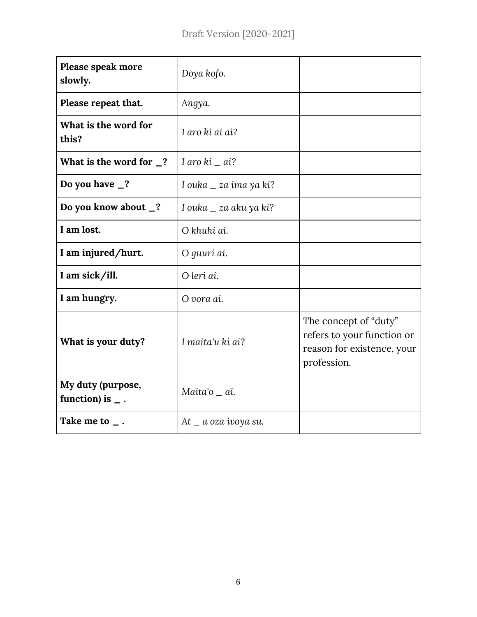| Please speak more<br>slowly.                                 | Doya kofo.                |                                                                                                  |
|--------------------------------------------------------------|---------------------------|--------------------------------------------------------------------------------------------------|
| Please repeat that.                                          | Angya.                    |                                                                                                  |
| What is the word for<br>this?                                | I aro ki ai ai?           |                                                                                                  |
| What is the word for $\frac{1}{2}$ ?                         | I aro ki $=$ ai?          |                                                                                                  |
| Do you have $\frac{1}{2}$ ?                                  | I ouka $\_$ za ima ya ki? |                                                                                                  |
| Do you know about _?                                         | I ouka $\_$ za aku ya ki? |                                                                                                  |
| I am lost.                                                   | O khuhi ai.               |                                                                                                  |
| I am injured/hurt.                                           | O guuri ai.               |                                                                                                  |
| I am sick/ill.                                               | O leri ai.                |                                                                                                  |
| I am hungry.                                                 | O vora ai.                |                                                                                                  |
| What is your duty?                                           | I maita'u ki ai?          | The concept of "duty"<br>refers to your function or<br>reason for existence, your<br>profession. |
| My duty (purpose,<br>function) is $\overline{\phantom{a}}$ . | Maita'o _ ai.             |                                                                                                  |
| Take me to $\overline{\phantom{a}}$ .                        | $At_a a oza ivoya su.$    |                                                                                                  |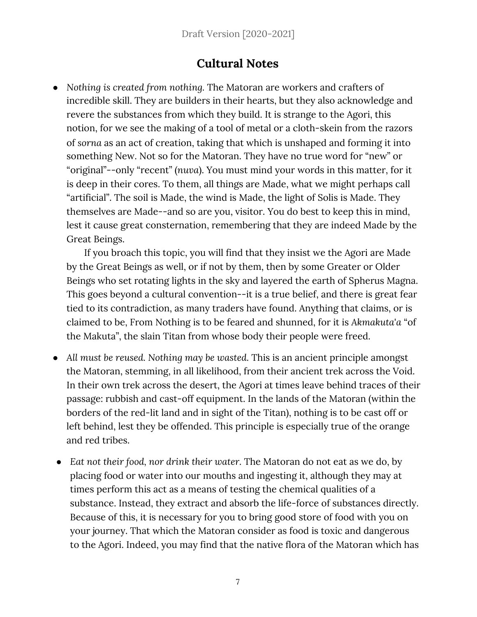### **Cultural Notes**

<span id="page-6-0"></span>● *Nothing is created from nothing.* The Matoran are workers and crafters of incredible skill. They are builders in their hearts, but they also acknowledge and revere the substances from which they build. It is strange to the Agori, this notion, for we see the making of a tool of metal or a cloth-skein from the razors of *sorna* as an act of creation, taking that which is unshaped and forming it into something New. Not so for the Matoran. They have no true word for "new" or "original"--only "recent" (*nuva*). You must mind your words in this matter, for it is deep in their cores. To them, all things are Made, what we might perhaps call "artificial". The soil is Made, the wind is Made, the light of Solis is Made. They themselves are Made--and so are you, visitor. You do best to keep this in mind, lest it cause great consternation, remembering that they are indeed Made by the Great Beings.

If you broach this topic, you will find that they insist we the Agori are Made by the Great Beings as well, or if not by them, then by some Greater or Older Beings who set rotating lights in the sky and layered the earth of Spherus Magna. This goes beyond a cultural convention--it is a true belief, and there is great fear tied to its contradiction, as many traders have found. Anything that claims, or is claimed to be, From Nothing is to be feared and shunned, for it is *Akmakuta*'*a* "of the Makuta", the slain Titan from whose body their people were freed.

- *All must be reused. Nothing may be wasted.* This is an ancient principle amongst the Matoran, stemming, in all likelihood, from their ancient trek across the Void. In their own trek across the desert, the Agori at times leave behind traces of their passage: rubbish and cast-off equipment. In the lands of the Matoran (within the borders of the red-lit land and in sight of the Titan), nothing is to be cast off or left behind, lest they be offended. This principle is especially true of the orange and red tribes.
- *● Eat not their food, nor drink their water.* The Matoran do not eat as we do, by placing food or water into our mouths and ingesting it, although they may at times perform this act as a means of testing the chemical qualities of a substance. Instead, they extract and absorb the life-force of substances directly. Because of this, it is necessary for you to bring good store of food with you on your journey. That which the Matoran consider as food is toxic and dangerous to the Agori. Indeed, you may find that the native flora of the Matoran which has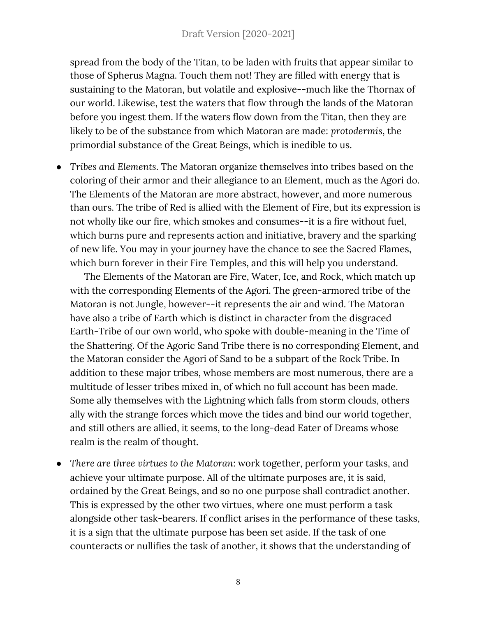#### Draft Version [2020-2021]

spread from the body of the Titan, to be laden with fruits that appear similar to those of Spherus Magna. Touch them not! They are filled with energy that is sustaining to the Matoran, but volatile and explosive--much like the Thornax of our world. Likewise, test the waters that flow through the lands of the Matoran before you ingest them. If the waters flow down from the Titan, then they are likely to be of the substance from which Matoran are made: *protodermis*, the primordial substance of the Great Beings, which is inedible to us.

*● Tribes and Elements*. The Matoran organize themselves into tribes based on the coloring of their armor and their allegiance to an Element, much as the Agori do. The Elements of the Matoran are more abstract, however, and more numerous than ours. The tribe of Red is allied with the Element of Fire, but its expression is not wholly like our fire, which smokes and consumes--it is a fire without fuel, which burns pure and represents action and initiative, bravery and the sparking of new life. You may in your journey have the chance to see the Sacred Flames, which burn forever in their Fire Temples, and this will help you understand.

The Elements of the Matoran are Fire, Water, Ice, and Rock, which match up with the corresponding Elements of the Agori. The green-armored tribe of the Matoran is not Jungle, however--it represents the air and wind. The Matoran have also a tribe of Earth which is distinct in character from the disgraced Earth-Tribe of our own world, who spoke with double-meaning in the Time of the Shattering. Of the Agoric Sand Tribe there is no corresponding Element, and the Matoran consider the Agori of Sand to be a subpart of the Rock Tribe. In addition to these major tribes, whose members are most numerous, there are a multitude of lesser tribes mixed in, of which no full account has been made. Some ally themselves with the Lightning which falls from storm clouds, others ally with the strange forces which move the tides and bind our world together, and still others are allied, it seems, to the long-dead Eater of Dreams whose realm is the realm of thought.

● *There are three virtues to the Matoran*: work together, perform your tasks, and achieve your ultimate purpose. All of the ultimate purposes are, it is said, ordained by the Great Beings, and so no one purpose shall contradict another. This is expressed by the other two virtues, where one must perform a task alongside other task-bearers. If conflict arises in the performance of these tasks, it is a sign that the ultimate purpose has been set aside. If the task of one counteracts or nullifies the task of another, it shows that the understanding of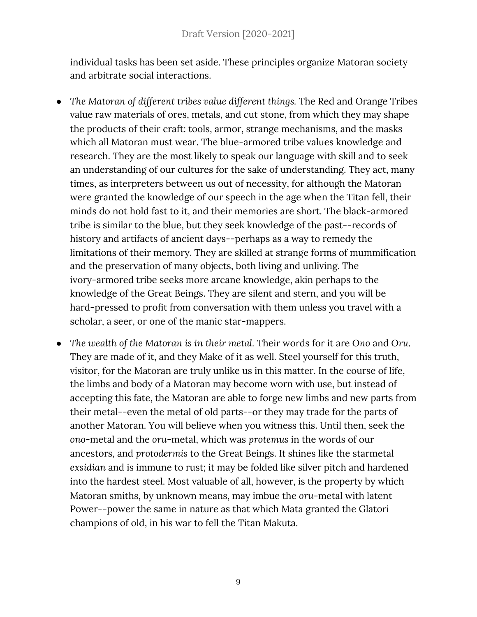individual tasks has been set aside. These principles organize Matoran society and arbitrate social interactions.

- *The Matoran of different tribes value different things.* The Red and Orange Tribes value raw materials of ores, metals, and cut stone, from which they may shape the products of their craft: tools, armor, strange mechanisms, and the masks which all Matoran must wear. The blue-armored tribe values knowledge and research. They are the most likely to speak our language with skill and to seek an understanding of our cultures for the sake of understanding. They act, many times, as interpreters between us out of necessity, for although the Matoran were granted the knowledge of our speech in the age when the Titan fell, their minds do not hold fast to it, and their memories are short. The black-armored tribe is similar to the blue, but they seek knowledge of the past--records of history and artifacts of ancient days--perhaps as a way to remedy the limitations of their memory. They are skilled at strange forms of mummification and the preservation of many objects, both living and unliving. The ivory-armored tribe seeks more arcane knowledge, akin perhaps to the knowledge of the Great Beings. They are silent and stern, and you will be hard-pressed to profit from conversation with them unless you travel with a scholar, a seer, or one of the manic star-mappers.
- *The wealth of the Matoran is in their metal.* Their words for it are *Ono* and *Oru*. They are made of it, and they Make of it as well. Steel yourself for this truth, visitor, for the Matoran are truly unlike us in this matter. In the course of life, the limbs and body of a Matoran may become worn with use, but instead of accepting this fate, the Matoran are able to forge new limbs and new parts from their metal--even the metal of old parts--or they may trade for the parts of another Matoran. You will believe when you witness this. Until then, seek the *ono-*metal and the *oru*-metal, which was *protemus* in the words of our ancestors, and *protodermis* to the Great Beings. It shines like the starmetal *exsidian* and is immune to rust; it may be folded like silver pitch and hardened into the hardest steel. Most valuable of all, however, is the property by which Matoran smiths, by unknown means, may imbue the *oru*-metal with latent Power--power the same in nature as that which Mata granted the Glatori champions of old, in his war to fell the Titan Makuta.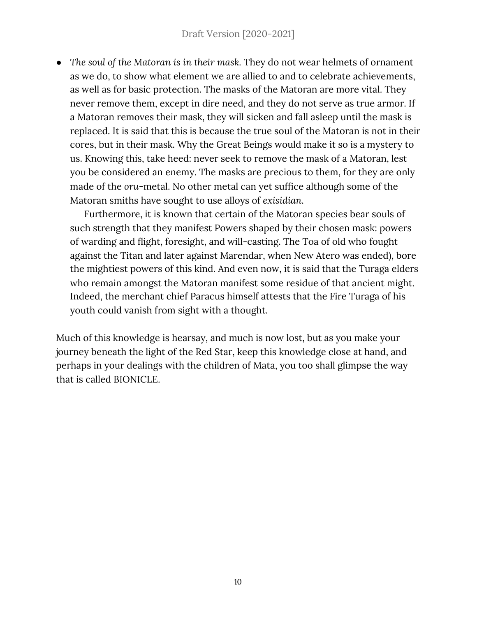*● The soul of the Matoran is in their mask.* They do not wear helmets of ornament as we do, to show what element we are allied to and to celebrate achievements, as well as for basic protection. The masks of the Matoran are more vital. They never remove them, except in dire need, and they do not serve as true armor. If a Matoran removes their mask, they will sicken and fall asleep until the mask is replaced. It is said that this is because the true soul of the Matoran is not in their cores, but in their mask. Why the Great Beings would make it so is a mystery to us. Knowing this, take heed: never seek to remove the mask of a Matoran, lest you be considered an enemy. The masks are precious to them, for they are only made of the *oru*-metal. No other metal can yet suffice although some of the Matoran smiths have sought to use alloys of *exisidian*.

Furthermore, it is known that certain of the Matoran species bear souls of such strength that they manifest Powers shaped by their chosen mask: powers of warding and flight, foresight, and will-casting. The Toa of old who fought against the Titan and later against Marendar, when New Atero was ended), bore the mightiest powers of this kind. And even now, it is said that the Turaga elders who remain amongst the Matoran manifest some residue of that ancient might. Indeed, the merchant chief Paracus himself attests that the Fire Turaga of his youth could vanish from sight with a thought.

Much of this knowledge is hearsay, and much is now lost, but as you make your journey beneath the light of the Red Star, keep this knowledge close at hand, and perhaps in your dealings with the children of Mata, you too shall glimpse the way that is called BIONICLE.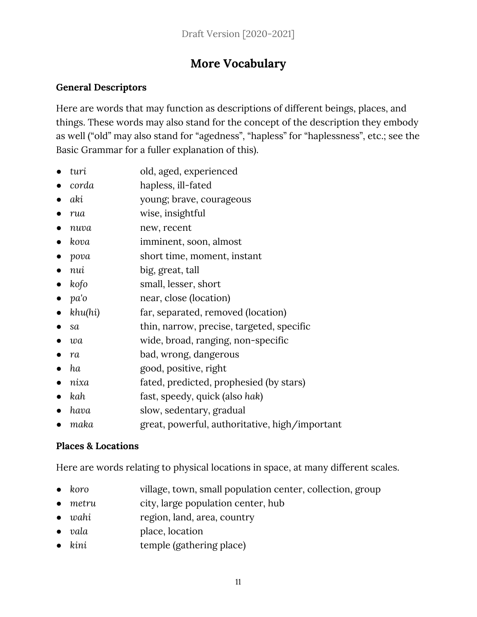## **More Vocabulary**

#### <span id="page-10-1"></span><span id="page-10-0"></span>**General Descriptors**

Here are words that may function as descriptions of different beings, places, and things. These words may also stand for the concept of the description they embody as well ("old" may also stand for "agedness", "hapless" for "haplessness", etc.; see the Basic Grammar for a fuller explanation of this).

- *turi* old, aged, experienced
- *corda* hapless, ill-fated
- *aki* young; brave, courageous
- *● rua* wise, insightful
- *nuva* new, recent
- *kova* imminent, soon, almost
- *● pova* short time, moment, instant
- *nui* big, great, tall
- kofo small, lesser, short
- *pa'o* near, close (location)
- khu(hi) far, separated, removed (location)
- *sa* thin, narrow, precise, targeted, specific
- *wa* wide, broad, ranging, non-specific
- *● ra* bad, wrong, dangerous
- *● ha* good, positive, right
- *● nixa* fated, predicted, prophesied (by stars)
- *● kah* fast, speedy, quick (also *hak*)
- *hava* slow, sedentary, gradual
- *● maka* great, powerful, authoritative, high/important

#### <span id="page-10-2"></span>**Places & Locations**

Here are words relating to physical locations in space, at many different scales.

- koro village, town, small population center, collection, group
- metru city, large population center, hub
- *wahi* region, land, area, country
- *vala* place, location
- *kini temple (gathering place)*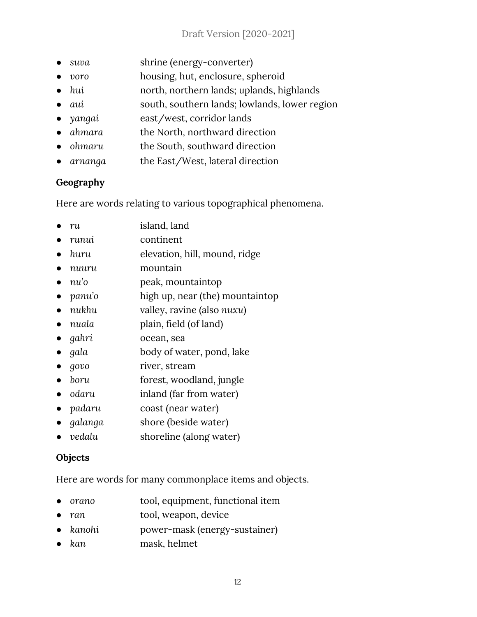- *suva* shrine (energy-converter)
- *voro* housing, hut, enclosure, spheroid
- *hui* north, northern lands; uplands, highlands
- *aui* south, southern lands; lowlands, lower region
- *● yangai* east/west, corridor lands
- *● ahmara* the North, northward direction
- *● ohmaru* the South, southward direction
- *● arnanga* the East/West, lateral direction

#### <span id="page-11-0"></span>**Geography**

Here are words relating to various topographical phenomena.

- *● ru* island, land
- *● runui* continent
- *● huru* elevation, hill, mound, ridge
- *● nuuru* mountain
- *● nu'o* peak, mountaintop
- *● panu'o* high up, near (the) mountaintop
- *nukhu* valley, ravine (also *nuxu*)
- *nuala* plain, field (of land)
- *● gahri* ocean, sea
- *gala* body of water, pond, lake
- *govo* river, stream
- *● boru* forest, woodland, jungle
- *● odaru* inland (far from water)
- *● padaru* coast (near water)
- *● galanga* shore (beside water)
- *● vedalu* shoreline (along water)

#### <span id="page-11-1"></span>**Objects**

Here are words for many commonplace items and objects.

- *orano* tool, equipment, functional item
- *● ran* tool, weapon, device
- *kanohi* power-mask (energy-sustainer)
- *● kan* mask, helmet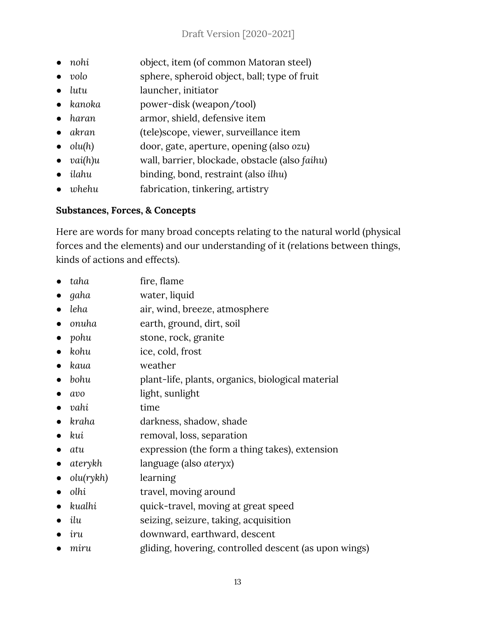- *nohi* object, item (of common Matoran steel)
- volo sphere, spheroid object, ball; type of fruit
- *lutu* launcher, initiator
- *kanoka* power-disk (weapon/tool)
- *● haran* armor, shield, defensive item
- *● akran* (tele)scope, viewer, surveillance item
- *● olu(h)* door, gate, aperture, opening (also *ozu*)
- *● vai(h)u* wall, barrier, blockade, obstacle (also *faihu*)
- *● ilahu* binding, bond, restraint (also *ilhu*)
- *● whehu* fabrication, tinkering, artistry

#### <span id="page-12-0"></span>**Substances, Forces, & Concepts**

Here are words for many broad concepts relating to the natural world (physical forces and the elements) and our understanding of it (relations between things, kinds of actions and effects).

- *● taha* fire, flame
- *● gaha* water, liquid
- *● leha* air, wind, breeze, atmosphere
- *onuha* earth, ground, dirt, soil
- *● pohu* stone, rock, granite
- *● kohu* ice, cold, frost
- *● kaua* weather
- *● bohu* plant-life, plants, organics, biological material
- *● avo* light, sunlight
- *● vahi* time
- *● kraha* darkness, shadow, shade
- *● kui* removal, loss, separation
- *● atu* expression (the form a thing takes), extension
- *● aterykh* language (also *ateryx*)
- *● olu(rykh)* learning
- *olhi* travel, moving around
- *● kualhi* quick-travel, moving at great speed
- *ilu* seizing, seizure, taking, acquisition
- *iru* downward, earthward, descent
- *miru* gliding, hovering, controlled descent (as upon wings)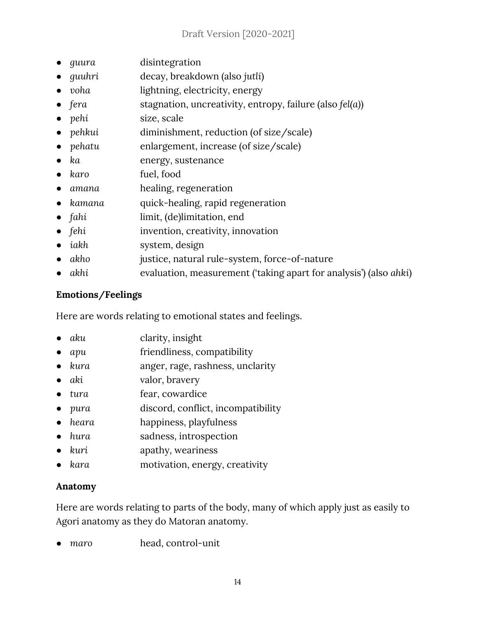- *● guura* disintegration
- *● guuhri* decay, breakdown (also *jutli*)
- *voha* lightning, electricity, energy
- *● fera* stagnation, uncreativity, entropy, failure (also *fel(a)*)
- *● pehi* size, scale
- *● pehkui* diminishment, reduction (of size/scale)
- *behatu* enlargement, increase (of size/scale)
- *● ka* energy, sustenance
- *● karo* fuel, food
- *● amana* healing, regeneration
- *kamana* quick-healing, rapid regeneration
- *fahi* limit, (de)limitation, end
- *● fehi* invention, creativity, innovation
- *● iakh* system, design
- *● akho* justice, natural rule-system, force-of-nature
- *● akhi* evaluation, measurement ('taking apart for analysis') (also *ahki*)

#### <span id="page-13-0"></span>**Emotions/Feelings**

Here are words relating to emotional states and feelings.

- *aku* clarity, insight
- apu friendliness, compatibility
- *kura* anger, rage, rashness, unclarity
- *aki* valor, bravery
- *tura* fear, cowardice
- *● pura* discord, conflict, incompatibility
- *heara* happiness, playfulness
- *hura* sadness, introspection
- *kuri* apathy, weariness
- *kara* motivation, energy, creativity

#### <span id="page-13-1"></span>**Anatomy**

Here are words relating to parts of the body, many of which apply just as easily to Agori anatomy as they do Matoran anatomy.

*● maro* head, control-unit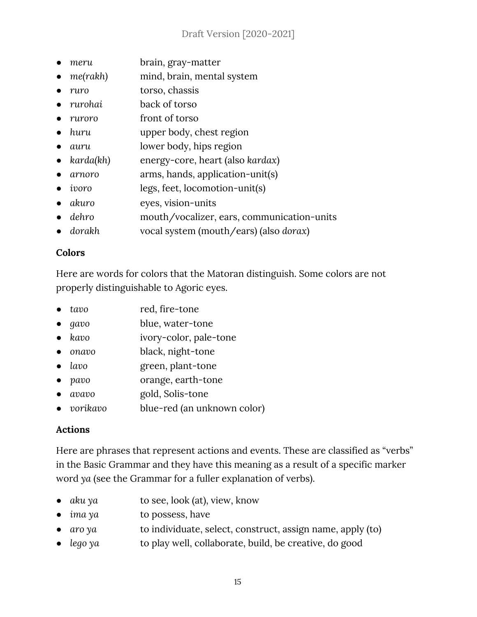- *● meru* brain, gray-matter
- *me(rakh)* mind, brain, mental system
- *● ruro* torso, chassis
- *● rurohai* back of torso
- *● ruroro* front of torso
- *● huru* upper body, chest region
- *● auru* lower body, hips region
- *● karda(kh)* energy-core, heart (also *kardax*)
- *● arnoro* arms, hands, application-unit(s)
- *● ivoro* legs, feet, locomotion-unit(s)
- *● akuro* eyes, vision-units
- *● dehro* mouth/vocalizer, ears, communication-units
- *● dorakh* vocal system (mouth/ears) (also *dorax*)

#### <span id="page-14-0"></span>**Colors**

Here are words for colors that the Matoran distinguish. Some colors are not properly distinguishable to Agoric eyes.

- *tavo* red, fire-tone
- *gavo* blue, water-tone
- *kavo* ivory-color, pale-tone
- *onavo* black, night-tone
- *lavo* green, plant-tone
- *pavo* orange, earth-tone
- *● avavo* gold, Solis-tone
- *● vorikavo* blue-red (an unknown color)

#### <span id="page-14-1"></span>**Actions**

Here are phrases that represent actions and events. These are classified as "verbs" in the Basic Grammar and they have this meaning as a result of a specific marker word *ya* (see the Grammar for a fuller explanation of verbs).

- *● aku ya* to see, look (at), view, know
- *● ima ya* to possess, have
- *aro*  $\gamma a$  to individuate, select, construct, assign name, apply (to)
- *lego* ya to play well, collaborate, build, be creative, do good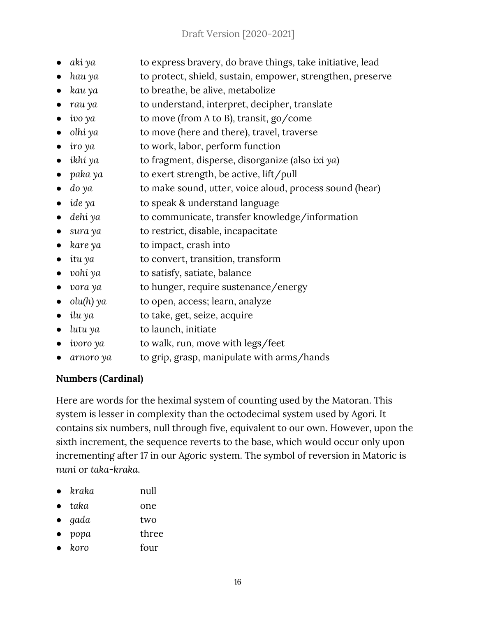- *aki ya* to express bravery, do brave things, take initiative, lead
- *hau* ya to protect, shield, sustain, empower, strengthen, preserve
- *kau ya* to breathe, be alive, metabolize
- *rau* y*a* to understand, interpret, decipher, translate
- *ivo* ya to move (from A to B), transit, go/come
- *b olhi ya* to move (here and there), travel, traverse
- *iro ya* to work, labor, perform function
- *● ikhi ya* to fragment, disperse, disorganize (also *ixi ya*)
- *paka ya* to exert strength, be active, lift/pull
- *● do ya* to make sound, utter, voice aloud, process sound (hear)
- *● ide ya* to speak & understand language
- *● dehi ya* to communicate, transfer knowledge/information
- *● sura ya* to restrict, disable, incapacitate
- *● kare ya* to impact, crash into
- *● itu ya* to convert, transition, transform
- *vohi ya* to satisfy, satiate, balance
- *● vora ya* to hunger, require sustenance/energy
- *● olu(h) ya* to open, access; learn, analyze
- *● ilu ya* to take, get, seize, acquire
- *● lutu ya* to launch, initiate
- *● ivoro ya* to walk, run, move with legs/feet
- *● arnoro ya* to grip, grasp, manipulate with arms/hands

#### <span id="page-15-0"></span>**Numbers (Cardinal)**

Here are words for the heximal system of counting used by the Matoran. This system is lesser in complexity than the octodecimal system used by Agori. It contains six numbers, null through five, equivalent to our own. However, upon the sixth increment, the sequence reverts to the base, which would occur only upon incrementing after 17 in our Agoric system. The symbol of reversion in Matoric is *nuni* or *taka-kraka*.

- *kraka* null
- *taka* one
- *gada* two
- *popa* three
- *koro* four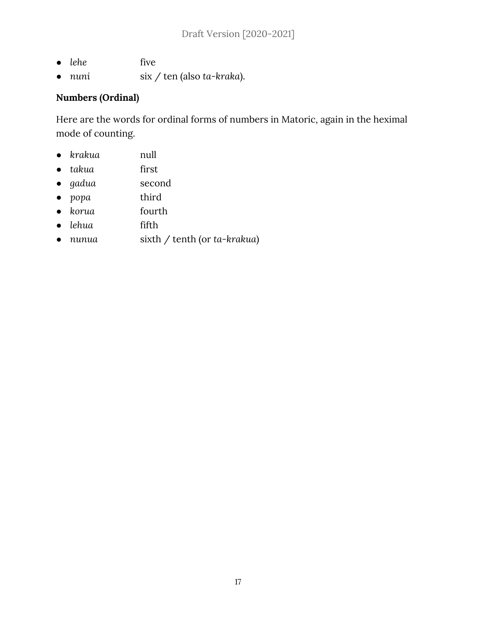- *lehe* five
- *nuni* six / ten (also *ta-kraka*).

#### <span id="page-16-0"></span>**Numbers (Ordinal)**

Here are the words for ordinal forms of numbers in Matoric, again in the heximal mode of counting.

- *krakua* null
- *takua* first
- *gadua* second
- *popa* third
- *korua* fourth
- *lehua* fifth
- *nunua* sixth / tenth (or *ta-krakua*)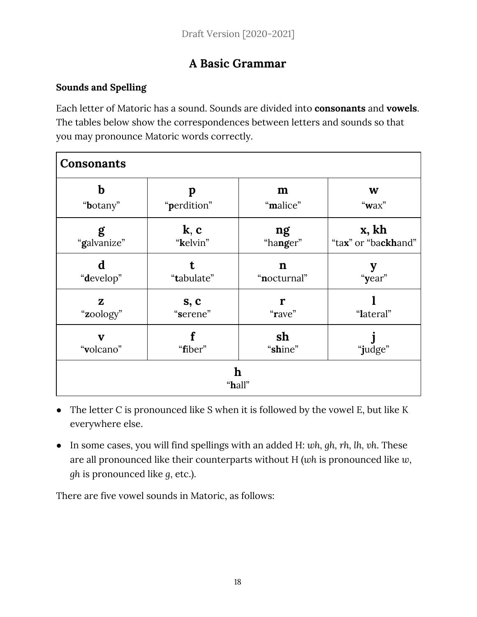## **A Basic Grammar**

#### <span id="page-17-1"></span><span id="page-17-0"></span>**Sounds and Spelling**

Each letter of Matoric has a sound. Sounds are divided into **consonants** and **vowels**. The tables below show the correspondences between letters and sounds so that you may pronounce Matoric words correctly.

| <b>Consonants</b>         |                  |                            |                              |
|---------------------------|------------------|----------------------------|------------------------------|
| b<br>"botany"             | p<br>"perdition" | m<br>"malice"              | W<br>" $\mathbf{w}$ ax"      |
| g<br>"galvanize"          | k, c<br>"kelvin" | ng<br>"hanger"             | x, kh<br>"tax" or "backhand" |
| d<br>"develop"            | "tabulate"       | $\mathbf n$<br>"nocturnal" | "year"                       |
| $\mathbf{z}$<br>"zoology" | s, c<br>"serene" | r<br>"rave"                | "lateral"                    |
| v<br>"volcano"            | "fiber"          | sh<br>"shine"              | "judge"                      |
| $\mathbf h$<br>"hall"     |                  |                            |                              |

- The letter C is pronounced like S when it is followed by the vowel E, but like K everywhere else.
- In some cases, you will find spellings with an added H: *wh, gh, rh, lh, vh*. These are all pronounced like their counterparts without H (*wh* is pronounced like *w*, *gh* is pronounced like *g*, etc.).

There are five vowel sounds in Matoric, as follows: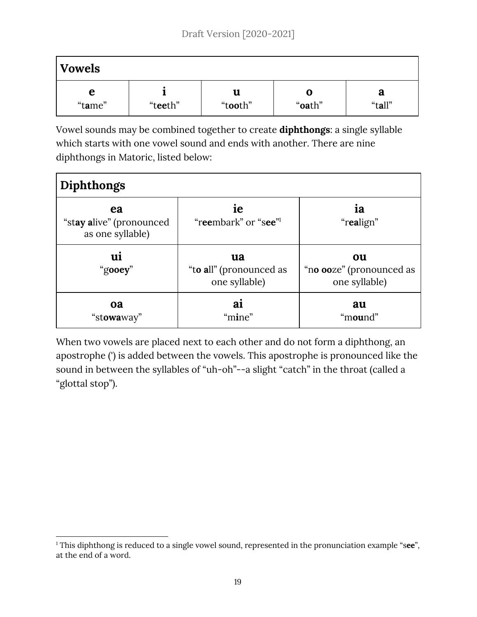| <b>Vowels</b>   |         |         |        |        |
|-----------------|---------|---------|--------|--------|
| е               | "teeth" | u       | U      | a      |
| "t <b>a</b> me" |         | "tooth" | "oath" | "tall" |

Vowel sounds may be combined together to create **diphthongs**: a single syllable which starts with one vowel sound and ends with another. There are nine diphthongs in Matoric, listed below:

| Diphthongs                                         |                                                |                                                 |  |
|----------------------------------------------------|------------------------------------------------|-------------------------------------------------|--|
| ea<br>"stay alive" (pronounced<br>as one syllable) | ie<br>"reembark" or "see"                      | ia<br>"realign"                                 |  |
| ui<br>"gooey"                                      | ua<br>"to all" (pronounced as<br>one syllable) | ou<br>"no ooze" (pronounced as<br>one syllable) |  |
| <b>oa</b><br>"stowaway"                            | ai<br>"mine"                                   | au<br>"mound"                                   |  |

When two vowels are placed next to each other and do not form a diphthong, an apostrophe (') is added between the vowels. This apostrophe is pronounced like the sound in between the syllables of "uh-oh"--a slight "catch" in the throat (called a "glottal stop").

<sup>&</sup>lt;sup>1</sup> This diphthong is reduced to a single vowel sound, represented in the pronunciation example "see", at the end of a word.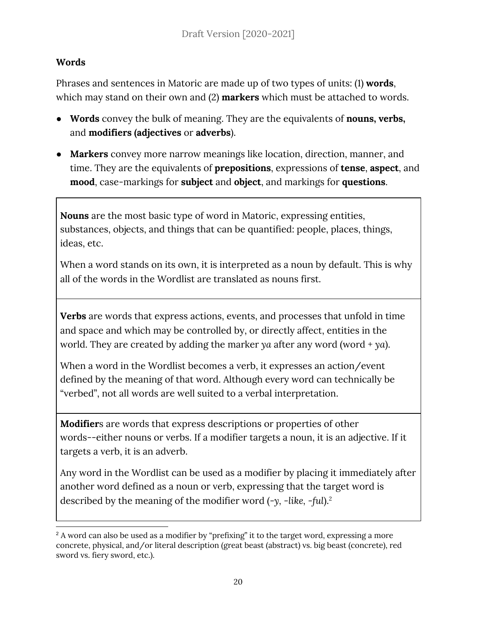#### <span id="page-19-0"></span>**Words**

Phrases and sentences in Matoric are made up of two types of units: (1) **words**, which may stand on their own and (2) **markers** which must be attached to words.

- **Words** convey the bulk of meaning. They are the equivalents of **nouns, verbs,** and **modifiers (adjectives** or **adverbs**).
- **Markers** convey more narrow meanings like location, direction, manner, and time. They are the equivalents of **prepositions**, expressions of **tense**, **aspect**, and **mood**, case-markings for **subject** and **object**, and markings for **questions**.

**Nouns** are the most basic type of word in Matoric, expressing entities, substances, objects, and things that can be quantified: people, places, things, ideas, etc.

When a word stands on its own, it is interpreted as a noun by default. This is why all of the words in the Wordlist are translated as nouns first.

**Verbs** are words that express actions, events, and processes that unfold in time and space and which may be controlled by, or directly affect, entities in the world. They are created by adding the marker *ya* after any word (word + *ya*).

When a word in the Wordlist becomes a verb, it expresses an action/event defined by the meaning of that word. Although every word can technically be "verbed", not all words are well suited to a verbal interpretation.

**Modifier**s are words that express descriptions or properties of other words--either nouns or verbs. If a modifier targets a noun, it is an adjective. If it targets a verb, it is an adverb.

Any word in the Wordlist can be used as a modifier by placing it immediately after another word defined as a noun or verb, expressing that the target word is described by the meaning of the modifier word (*-y, -like, -ful*). 2

<sup>&</sup>lt;sup>2</sup> A word can also be used as a modifier by "prefixing" it to the target word, expressing a more concrete, physical, and/or literal description (great beast (abstract) vs. big beast (concrete), red sword vs. fiery sword, etc.).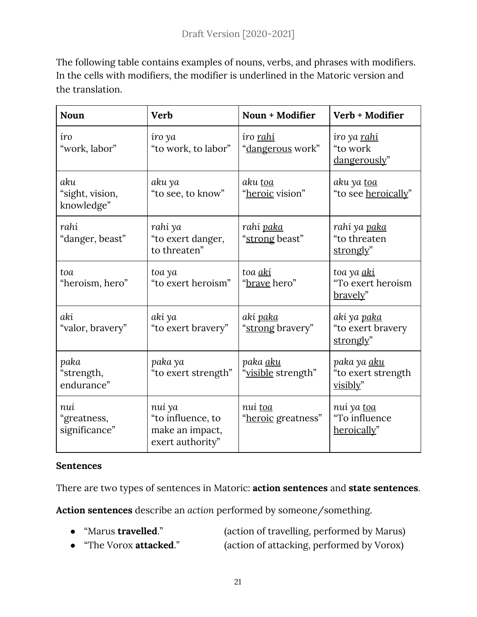The following table contains examples of nouns, verbs, and phrases with modifiers. In the cells with modifiers, the modifier is underlined in the Matoric version and the translation.

| <b>Noun</b>                          | <b>Verb</b>                                                        | Noun + Modifier                             | Verb + Modifier                                      |
|--------------------------------------|--------------------------------------------------------------------|---------------------------------------------|------------------------------------------------------|
| iro<br>"work, labor"                 | iro ya<br>"to work, to labor"                                      | iro <u>rahi</u><br>" <u>dangerous</u> work" | iro ya <u>rahi</u><br>"to work<br>dangerously"       |
| aku<br>"sight, vision,<br>knowledge" | aku ya<br>"to see, to know"                                        | aku toa<br>"heroic vision"                  | aku ya <u>toa</u><br>"to see heroically"             |
| rahi<br>"danger, beast"              | rahi ya<br>"to exert danger,<br>to threaten"                       | rahi <u>paka</u><br>"strong beast"          | rahi ya <u>paka</u><br>"to threaten<br>strongly"     |
| toa<br>"heroism, hero"               | toa ya<br>"to exert heroism"                                       | toa aki<br>"brave hero"                     | toa ya <u>aki</u><br>"To exert heroism<br>bravely"   |
| aki<br>"valor, bravery"              | aki ya<br>"to exert bravery"                                       | aki <u>paka</u><br>"strong bravery"         | aki ya <u>paka</u><br>"to exert bravery<br>strongly" |
| paka<br>"strength,<br>endurance"     | paka ya<br>"to exert strength"                                     | paka <u>aku</u><br>"visible strength"       | paka ya <u>aku</u><br>"to exert strength<br>visibly" |
| nui<br>"greatness,<br>significance"  | nui ya<br>"to influence, to<br>make an impact,<br>exert authority" | nui toa<br>"heroic greatness"               | nui ya toa<br>"To influence<br>heroically"           |

#### <span id="page-20-0"></span>**Sentences**

There are two types of sentences in Matoric: **action sentences** and **state sentences**.

**Action sentences** describe an *action* performed by someone/something.

- "Marus **travelled**." (action of travelling, performed by Marus)
- "The Vorox **attacked**." (action of attacking, performed by Vorox)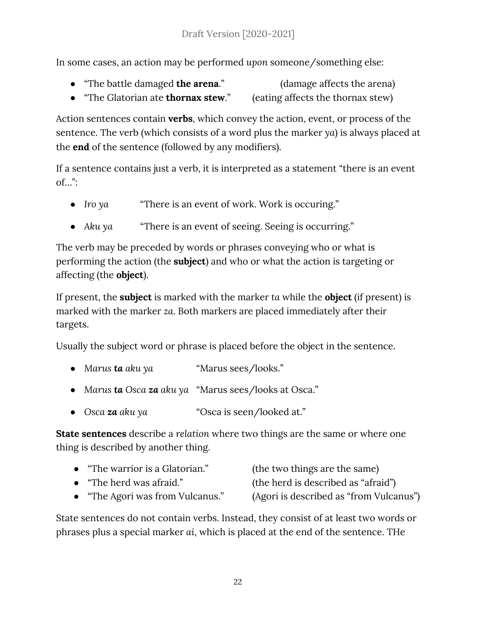In some cases, an action may be performed *upon* someone/something else:

- "The battle damaged **the arena**." (damage affects the arena)
	-
- "The Glatorian ate **thornax stew**." (eating affects the thornax stew)

Action sentences contain **verbs**, which convey the action, event, or process of the sentence. The verb (which consists of a word plus the marker *ya*) is always placed at the **end** of the sentence (followed by any modifiers).

If a sentence contains just a verb, it is interpreted as a statement "there is an event  $of...$ ":

- *Iro* ya **"There is an event of work. Work is occuring."**
- *● Aku ya* "There is an event of seeing. Seeing is occurring."

The verb may be preceded by words or phrases conveying who or what is performing the action (the **subject**) and who or what the action is targeting or affecting (the **object**).

If present, the **subject** is marked with the marker *ta* while the **object** (if present) is marked with the marker *za*. Both markers are placed immediately after their targets.

Usually the subject word or phrase is placed before the object in the sentence.

- *Marus* **ta** *aku* ya "Marus sees/looks."
- *Marus ta Osca za aku ya* "Marus sees/looks at Osca."
- *● Osca za aku ya* "Osca is seen/looked at."

**State sentences** describe a *relation* where two things are the same or where one thing is described by another thing.

| "The warrior is a Glatorian." | (the two things are the same)       |
|-------------------------------|-------------------------------------|
| • "The herd was afraid."      | (the herd is described as "afraid") |

"The Agori was from Vulcanus." (Agori is described as "from Vulcanus")

State sentences do not contain verbs. Instead, they consist of at least two words or phrases plus a special marker *ai*, which is placed at the end of the sentence. THe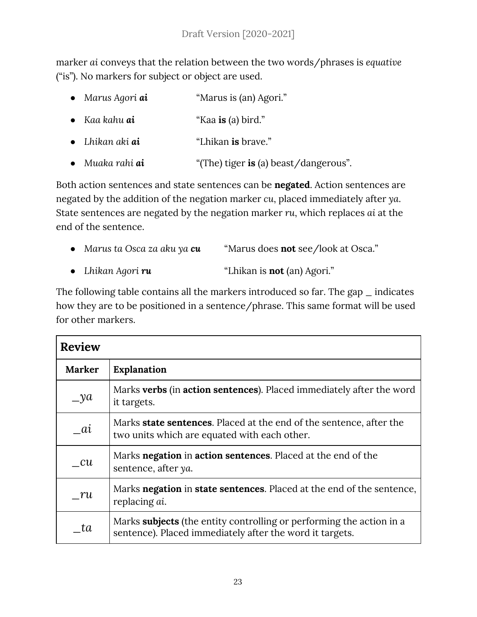marker *ai* conveys that the relation between the two words/phrases is *equative* ("is"). No markers for subject or object are used.

- *Marus Agori ai* "Marus is (an) Agori."
- *Kaa kahu ai* "Kaa **is** (a) bird."
- *Lhikan aki ai* "Lhikan **is** brave."
- *Muaka rahi ai* "(The) tiger **is** (a) beast/dangerous".

Both action sentences and state sentences can be **negated**. Action sentences are negated by the addition of the negation marker *cu*, placed immediately after *ya*. State sentences are negated by the negation marker *ru*, which replaces *ai* at the end of the sentence.

| • Marus ta Osca za aku ya $cu$ | "Marus does <b>not</b> see/look at Osca." |
|--------------------------------|-------------------------------------------|
| • Lhikan Agori $ru$            | "Lhikan is <b>not</b> (an) Agori."        |

The following table contains all the markers introduced so far. The gap  $\_$  indicates how they are to be positioned in a sentence/phrase. This same format will be used for other markers.

| <b>Review</b> |                                                                                                                                  |
|---------------|----------------------------------------------------------------------------------------------------------------------------------|
| <b>Marker</b> | <b>Explanation</b>                                                                                                               |
| $y^a$         | Marks verbs (in action sentences). Placed immediately after the word<br>it targets.                                              |
| ai            | Marks <b>state sentences</b> . Placed at the end of the sentence, after the<br>two units which are equated with each other.      |
| $\_cu$        | Marks negation in action sentences. Placed at the end of the<br>sentence, after ya.                                              |
| ru            | Marks negation in state sentences. Placed at the end of the sentence,<br>replacing <i>ai</i> .                                   |
| ta            | Marks subjects (the entity controlling or performing the action in a<br>sentence). Placed immediately after the word it targets. |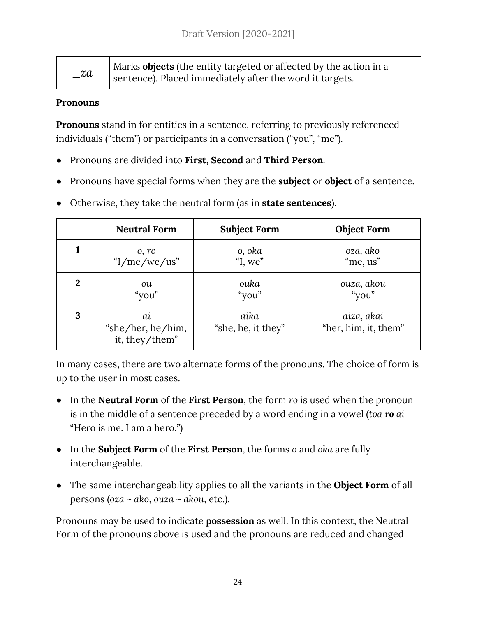| $\mathcal{Z}a$ | Marks objects (the entity targeted or affected by the action in a |
|----------------|-------------------------------------------------------------------|
|                | sentence). Placed immediately after the word it targets.          |

#### <span id="page-23-0"></span>**Pronouns**

**Pronouns** stand in for entities in a sentence, referring to previously referenced individuals ("them") or participants in a conversation ("you", "me").

- Pronouns are divided into **First**, **Second** and **Third Person**.
- Pronouns have special forms when they are the **subject** or **object** of a sentence.
- Otherwise, they take the neutral form (as in **state sentences**).

|                  | <b>Neutral Form</b>                       | <b>Subject Form</b>        | <b>Object Form</b>                 |
|------------------|-------------------------------------------|----------------------------|------------------------------------|
|                  | 0, r <sub>0</sub>                         | o, oka                     | oza, ako                           |
|                  | " $I/me/we/us$ "                          | "I, we"                    | "me, us"                           |
| $\boldsymbol{2}$ | ou                                        | ouka                       | ouza, akou                         |
|                  | "you"                                     | "you"                      | "you"                              |
| 3                | ai<br>"she/her, he/him,<br>it, they/them" | aika<br>"she, he, it they" | aiza, akai<br>"her, him, it, them" |

In many cases, there are two alternate forms of the pronouns. The choice of form is up to the user in most cases.

- In the **Neutral Form** of the **First Person**, the form *ro* is used when the pronoun is in the middle of a sentence preceded by a word ending in a vowel (*toa ro ai* "Hero is me. I am a hero.")
- In the **Subject Form** of the **First Person**, the forms *o* and *oka* are fully interchangeable.
- The same interchangeability applies to all the variants in the **Object Form** of all persons (*oza* ~ *ako*, *ouza ~ akou*, etc.).

Pronouns may be used to indicate **possession** as well. In this context, the Neutral Form of the pronouns above is used and the pronouns are reduced and changed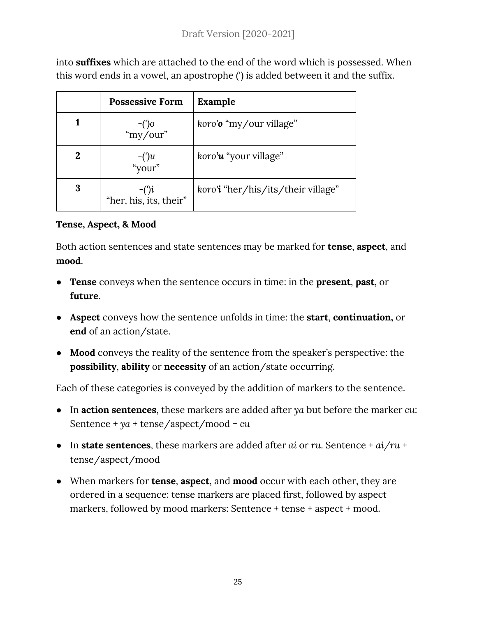into **suffixes** which are attached to the end of the word which is possessed. When this word ends in a vowel, an apostrophe (') is added between it and the suffix.

|   | <b>Possessive Form</b>            | Example                            |
|---|-----------------------------------|------------------------------------|
|   | $^{-(')o}$<br>"my/our"            | koro'o "my/our village"            |
| 2 | $-(')u$<br>"your"                 | koro' <b>u</b> "your village"      |
| 3 | $-(')i$<br>"her, his, its, their" | koro'i "her/his/its/their village" |

#### <span id="page-24-0"></span>**Tense, Aspect, & Mood**

Both action sentences and state sentences may be marked for **tense**, **aspect**, and **mood**.

- **● Tense** conveys when the sentence occurs in time: in the **present**, **past**, or **future**.
- **● Aspect** conveys how the sentence unfolds in time: the **start**, **continuation,** or **end** of an action/state.
- **Mood** conveys the reality of the sentence from the speaker's perspective: the **possibility**, **ability** or **necessity** of an action/state occurring.

Each of these categories is conveyed by the addition of markers to the sentence.

- In **action sentences**, these markers are added after *ya* but before the marker *cu*: Sentence + *ya* + tense/aspect/mood + *cu*
- In **state sentences**, these markers are added after *ai* or *ru*. Sentence + *ai/ru* + tense/aspect/mood
- When markers for **tense**, **aspect**, and **mood** occur with each other, they are ordered in a sequence: tense markers are placed first, followed by aspect markers, followed by mood markers: Sentence + tense + aspect + mood.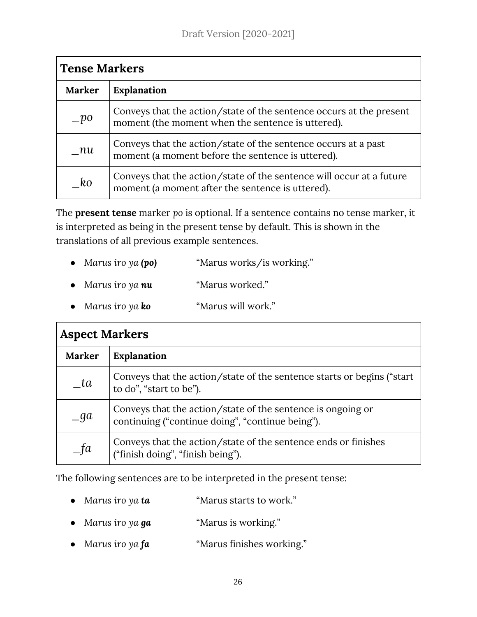| <b>Tense Markers</b> |                                                                                                                          |  |
|----------------------|--------------------------------------------------------------------------------------------------------------------------|--|
| <b>Marker</b>        | <b>Explanation</b>                                                                                                       |  |
| $-po$                | Conveys that the action/state of the sentence occurs at the present<br>moment (the moment when the sentence is uttered). |  |
| $\_nu$               | Conveys that the action/state of the sentence occurs at a past<br>moment (a moment before the sentence is uttered).      |  |
| $k$ o                | Conveys that the action/state of the sentence will occur at a future<br>moment (a moment after the sentence is uttered). |  |

The **present tense** marker *po* is optional. If a sentence contains no tense marker, it is interpreted as being in the present tense by default. This is shown in the translations of all previous example sentences.

- *● Marus iro ya (po)* "Marus works/is working."
- *● Marus iro ya nu* "Marus worked."
- *● Marus iro ya ko* "Marus will work."

| <b>Aspect Markers</b> |                                                                                                                 |  |
|-----------------------|-----------------------------------------------------------------------------------------------------------------|--|
| <b>Marker</b>         | <b>Explanation</b>                                                                                              |  |
| ta                    | Conveys that the action/state of the sentence starts or begins ("start")<br>to do", "start to be").             |  |
| $\Box$ ga             | Conveys that the action/state of the sentence is ongoing or<br>continuing ("continue doing", "continue being"). |  |
| $=$ fa                | Conveys that the action/state of the sentence ends or finishes<br>("finish doing", "finish being").             |  |

The following sentences are to be interpreted in the present tense:

- *● Marus iro ya ta* "Marus starts to work."
- *● Marus iro ya ga* "Marus is working."
- *● Marus iro ya fa* "Marus finishes working."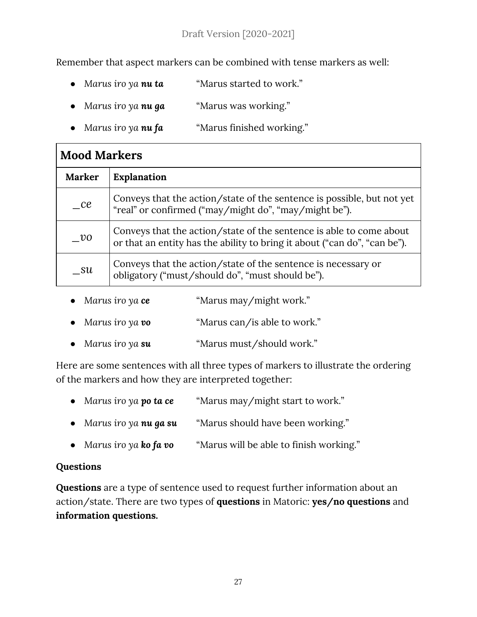#### Draft Version [2020-2021]

Remember that aspect markers can be combined with tense markers as well:

- *● Marus iro ya nu ta* "Marus started to work."
- *● Marus iro ya nu ga* "Marus was working."
- *● Marus iro ya nu fa* "Marus finished working."

| <b>Mood Markers</b> |                                                                                                                                                  |  |
|---------------------|--------------------------------------------------------------------------------------------------------------------------------------------------|--|
| <b>Marker</b>       | <b>Explanation</b>                                                                                                                               |  |
| ce                  | Conveys that the action/state of the sentence is possible, but not yet<br>"real" or confirmed ("may/might do", "may/might be").                  |  |
| $v$ o               | Conveys that the action/state of the sentence is able to come about<br>or that an entity has the ability to bring it about ("can do", "can be"). |  |
| — su                | Conveys that the action/state of the sentence is necessary or<br>obligatory ("must/should do", "must should be").                                |  |

- *● Marus iro ya ce* "Marus may/might work."
- *● Marus iro ya vo* "Marus can/is able to work."
- *● Marus iro ya su* "Marus must/should work."

Here are some sentences with all three types of markers to illustrate the ordering of the markers and how they are interpreted together:

- *● Marus iro ya po ta ce* "Marus may/might start to work." *● Marus iro ya nu ga su* "Marus should have been working."
- *● Marus iro ya ko fa vo* "Marus will be able to finish working."

#### <span id="page-26-0"></span>**Questions**

**Questions** are a type of sentence used to request further information about an action/state. There are two types of **questions** in Matoric: **yes/no questions** and **information questions.**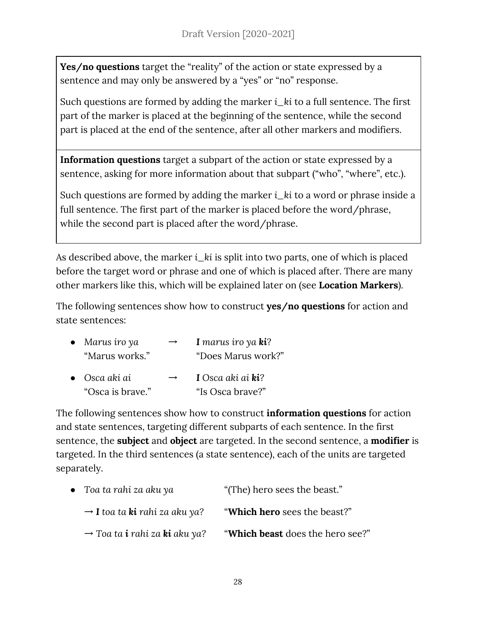**Yes/no questions** target the "reality" of the action or state expressed by a sentence and may only be answered by a "yes" or "no" response.

Such questions are formed by adding the marker *i\_ki* to a full sentence. The first part of the marker is placed at the beginning of the sentence, while the second part is placed at the end of the sentence, after all other markers and modifiers.

**Information questions** target a subpart of the action or state expressed by a sentence, asking for more information about that subpart ("who", "where", etc.).

Such questions are formed by adding the marker *i\_ki* to a word or phrase inside a full sentence. The first part of the marker is placed before the word/phrase, while the second part is placed after the word/phrase.

As described above, the marker *i\_ki* is split into two parts, one of which is placed before the target word or phrase and one of which is placed after. There are many other markers like this, which will be explained later on (see **Location Markers**).

The following sentences show how to construct **yes/no questions** for action and state sentences:

| $\bullet$ Marus iro ya | $\rightarrow$ | I marus iro ya $\boldsymbol{k}$ i? |
|------------------------|---------------|------------------------------------|
| "Marus works."         |               | "Does Marus work?"                 |
| $\bullet$ Osca aki ai  | $\rightarrow$ | I Osca aki ai <b>ki</b> ?          |
| "Osca is brave."       |               | "Is Osca brave?"                   |

The following sentences show how to construct **information questions** for action and state sentences, targeting different subparts of each sentence. In the first sentence, the **subject** and **object** are targeted. In the second sentence, a **modifier** is targeted. In the third sentences (a state sentence), each of the units are targeted separately.

| $\bullet$ Toa ta rahi za aku ya                         | "(The) hero sees the beast."     |
|---------------------------------------------------------|----------------------------------|
| $\rightarrow$ <b>I</b> toa ta <b>ki</b> rahi za aku ya? | "Which hero sees the beast?"     |
| $\rightarrow$ Toa ta <b>i</b> rahi za <b>ki</b> aku ya? | "Which beast does the hero see?" |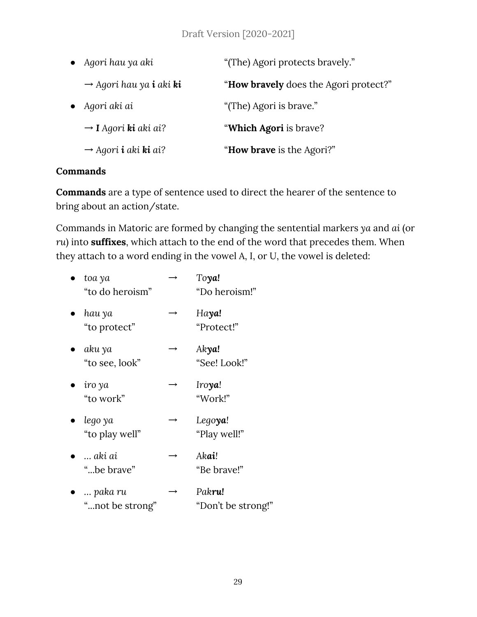| Agori hau ya aki |                                                   | "(The) Agori protects bravely."               |  |
|------------------|---------------------------------------------------|-----------------------------------------------|--|
|                  | $\rightarrow$ Agori hau ya <b>i</b> aki <b>ki</b> | " <b>How bravely</b> does the Agori protect?" |  |
|                  | Aqori aki ai                                      | "(The) Agori is brave."                       |  |
|                  | $\rightarrow$ I Agori ki aki ai?                  | "Which Agori is brave?                        |  |
|                  | $\rightarrow$ Agori <b>i</b> aki <b>ki</b> ai?    | "How brave is the Agori?"                     |  |

#### <span id="page-28-0"></span>**Commands**

**Commands** are a type of sentence used to direct the hearer of the sentence to bring about an action/state.

Commands in Matoric are formed by changing the sentential markers *ya* and *ai* (or *ru*) into **suffixes**, which attach to the end of the word that precedes them. When they attach to a word ending in the vowel A, I, or U, the vowel is deleted:

| toa ya<br>"to do heroism" | Toya!<br>"Do heroism!"     |
|---------------------------|----------------------------|
| hau ya<br>"to protect"    | Haya!<br>"Protect!"        |
| aku ya<br>"to see, look"  | Akya!<br>"See! Look!"      |
| iro ya<br>"to work"       | Iro <b>ya</b> !<br>"Work!" |
| lego ya<br>"to play well" | Legoya!<br>"Play well!"    |
| aki ai<br>"be brave"      | Akai!<br>"Be brave!"       |
| paka ru                   | Pakru!                     |

"...not be strong" "Don't be strong!"